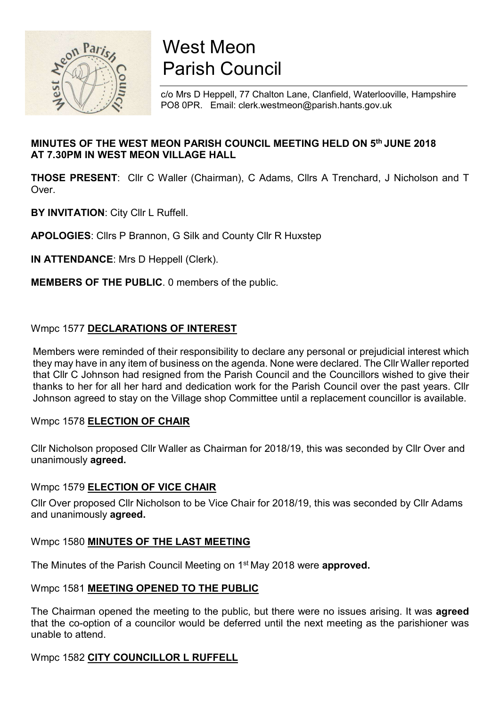

# West Meon Parish Council

c/o Mrs D Heppell, 77 Chalton Lane, Clanfield, Waterlooville, Hampshire PO8 0PR. Email: clerk.westmeon@parish.hants.gov.uk

## MINUTES OF THE WEST MEON PARISH COUNCIL MEETING HELD ON 5th JUNE 2018 AT 7.30PM IN WEST MEON VILLAGE HALL

THOSE PRESENT: Cllr C Waller (Chairman), C Adams, Cllrs A Trenchard, J Nicholson and T Over.

BY INVITATION: City Cllr L Ruffell.

APOLOGIES: Cllrs P Brannon, G Silk and County Cllr R Huxstep

IN ATTENDANCE: Mrs D Heppell (Clerk).

MEMBERS OF THE PUBLIC. 0 members of the public.

### Wmpc 1577 DECLARATIONS OF INTEREST

 Members were reminded of their responsibility to declare any personal or prejudicial interest which they may have in any item of business on the agenda. None were declared. The Cllr Waller reported that Cllr C Johnson had resigned from the Parish Council and the Councillors wished to give their thanks to her for all her hard and dedication work for the Parish Council over the past years. Cllr Johnson agreed to stay on the Village shop Committee until a replacement councillor is available.

### Wmpc 1578 ELECTION OF CHAIR

Cllr Nicholson proposed Cllr Waller as Chairman for 2018/19, this was seconded by Cllr Over and unanimously agreed.

### Wmpc 1579 ELECTION OF VICE CHAIR

Cllr Over proposed Cllr Nicholson to be Vice Chair for 2018/19, this was seconded by Cllr Adams and unanimously **agreed.** 

### Wmpc 1580 MINUTES OF THE LAST MEETING

The Minutes of the Parish Council Meeting on 1<sup>st</sup> May 2018 were **approved.** 

## Wmpc 1581 MEETING OPENED TO THE PUBLIC

The Chairman opened the meeting to the public, but there were no issues arising. It was **agreed** that the co-option of a councilor would be deferred until the next meeting as the parishioner was unable to attend.

## Wmpc 1582 CITY COUNCILLOR L RUFFELL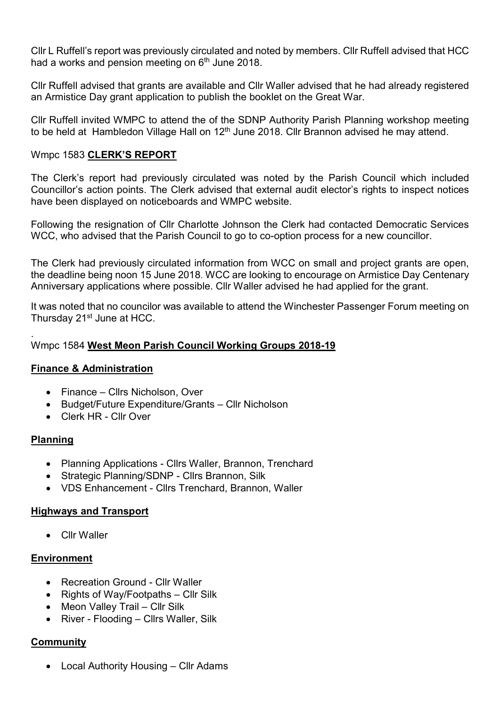Cllr L Ruffell's report was previously circulated and noted by members. Cllr Ruffell advised that HCC had a works and pension meeting on 6<sup>th</sup> June 2018.

Cllr Ruffell advised that grants are available and Cllr Waller advised that he had already registered an Armistice Day grant application to publish the booklet on the Great War.

Cllr Ruffell invited WMPC to attend the of the SDNP Authority Parish Planning workshop meeting to be held at Hambledon Village Hall on 12<sup>th</sup> June 2018. Cllr Brannon advised he may attend.

#### Wmpc 1583 CLERK'S REPORT

The Clerk's report had previously circulated was noted by the Parish Council which included Councillor's action points. The Clerk advised that external audit elector's rights to inspect notices have been displayed on noticeboards and WMPC website.

Following the resignation of Cllr Charlotte Johnson the Clerk had contacted Democratic Services WCC, who advised that the Parish Council to go to co-option process for a new councillor.

The Clerk had previously circulated information from WCC on small and project grants are open, the deadline being noon 15 June 2018. WCC are looking to encourage on Armistice Day Centenary Anniversary applications where possible. Cllr Waller advised he had applied for the grant.

It was noted that no councilor was available to attend the Winchester Passenger Forum meeting on Thursday 21<sup>st</sup> June at HCC.

#### . Wmpc 1584 West Meon Parish Council Working Groups 2018-19

#### Finance & Administration

- Finance Cllrs Nicholson, Over
- Budget/Future Expenditure/Grants Cllr Nicholson
- Clerk HR Cllr Over

#### Planning

- Planning Applications Cllrs Waller, Brannon, Trenchard
- Strategic Planning/SDNP Cllrs Brannon, Silk
- VDS Enhancement Cllrs Trenchard, Brannon, Waller

#### Highways and Transport

Cllr Waller

### Environment

- Recreation Ground Cllr Waller
- Rights of Way/Footpaths Cllr Silk
- Meon Valley Trail Cllr Silk
- River Flooding Cllrs Waller, Silk

### **Community**

• Local Authority Housing – Cllr Adams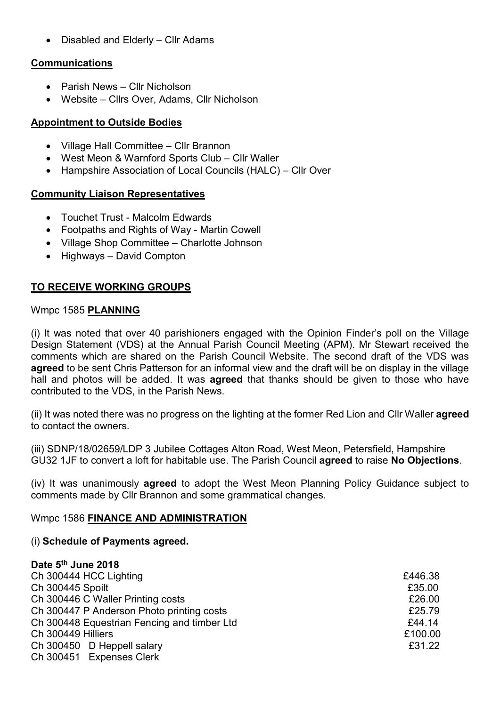Disabled and Elderly – Cllr Adams

## Communications

- Parish News Cllr Nicholson
- Website Cllrs Over, Adams, Cllr Nicholson

## Appointment to Outside Bodies

- Village Hall Committee Cllr Brannon
- West Meon & Warnford Sports Club Cllr Waller
- Hampshire Association of Local Councils (HALC) Cllr Over

## Community Liaison Representatives

- Touchet Trust Malcolm Edwards
- Footpaths and Rights of Way Martin Cowell
- Village Shop Committee Charlotte Johnson
- Highways David Compton

## TO RECEIVE WORKING GROUPS

#### Wmpc 1585 PLANNING

(i) It was noted that over 40 parishioners engaged with the Opinion Finder's poll on the Village Design Statement (VDS) at the Annual Parish Council Meeting (APM). Mr Stewart received the comments which are shared on the Parish Council Website. The second draft of the VDS was agreed to be sent Chris Patterson for an informal view and the draft will be on display in the village hall and photos will be added. It was **agreed** that thanks should be given to those who have contributed to the VDS, in the Parish News.

(ii) It was noted there was no progress on the lighting at the former Red Lion and Cllr Waller **agreed** to contact the owners.

(iii) SDNP/18/02659/LDP 3 Jubilee Cottages Alton Road, West Meon, Petersfield, Hampshire GU32 1JF to convert a loft for habitable use. The Parish Council agreed to raise No Objections.

(iv) It was unanimously agreed to adopt the West Meon Planning Policy Guidance subject to comments made by Cllr Brannon and some grammatical changes.

### Wmpc 1586 FINANCE AND ADMINISTRATION

### (i) Schedule of Payments agreed.

### Date 5th June 2018

| Ch 300444 HCC Lighting                      | £446.38 |
|---------------------------------------------|---------|
| <b>Ch 300445 Spoilt</b>                     | £35.00  |
| Ch 300446 C Waller Printing costs           | £26.00  |
| Ch 300447 P Anderson Photo printing costs   | £25.79  |
| Ch 300448 Equestrian Fencing and timber Ltd | £44.14  |
| Ch 300449 Hilliers                          | £100.00 |
| Ch 300450 D Heppell salary                  | £31.22  |
| Ch 300451 Expenses Clerk                    |         |